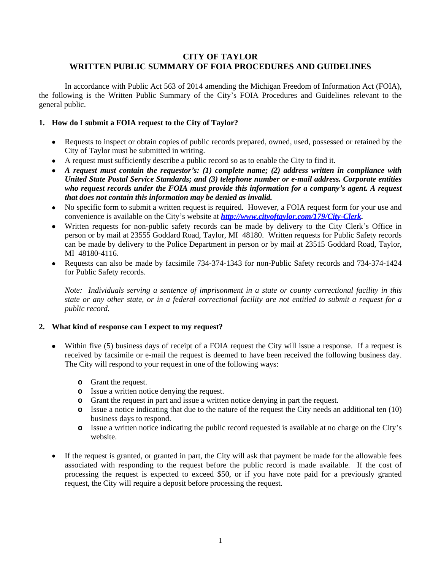# **CITY OF TAYLOR WRITTEN PUBLIC SUMMARY OF FOIA PROCEDURES AND GUIDELINES**

In accordance with Public Act 563 of 2014 amending the Michigan Freedom of Information Act (FOIA), the following is the Written Public Summary of the City's FOIA Procedures and Guidelines relevant to the general public.

### **1. How do I submit a FOIA request to the City of Taylor?**

- Requests to inspect or obtain copies of public records prepared, owned, used, possessed or retained by the City of Taylor must be submitted in writing.
- A request must sufficiently describe a public record so as to enable the City to find it.
- *A request must contain the requestor's: (1) complete name; (2) address written in compliance with United State Postal Service Standards; and (3) telephone number or e-mail address. Corporate entities who request records under the FOIA must provide this information for a company's agent. A request that does not contain this information may be denied as invalid.*
- No specific form to submit a written request is required. However, a FOIA request form for your use and convenience is available on the City's website at *[http://www.cityoftaylor.com/179/City-Clerk.](http://www.cityoftaylor.com/179/City-Clerk)*
- Written requests for non-public safety records can be made by delivery to the City Clerk's Office in person or by mail at 23555 Goddard Road, Taylor, MI 48180. Written requests for Public Safety records can be made by delivery to the Police Department in person or by mail at 23515 Goddard Road, Taylor, MI 48180-4116.
- Requests can also be made by facsimile 734-374-1343 for non-Public Safety records and 734-374-1424 for Public Safety records.

*Note: Individuals serving a sentence of imprisonment in a state or county correctional facility in this* state or any other state, or in a federal correctional facility are not entitled to submit a request for a *public record.*

#### **2. What kind of response can I expect to my request?**

- Within five (5) business days of receipt of a FOIA request the City will issue a response. If a request is received by facsimile or e-mail the request is deemed to have been received the following business day. The City will respond to your request in one of the following ways:
	- **o** Grant the request.
	- **o** Issue a written notice denying the request.
	- **o** Grant the request in part and issue a written notice denying in part the request.
	- **o** Issue a notice indicating that due to the nature of the request the City needs an additional ten (10) business days to respond.
	- **o** Issue a written notice indicating the public record requested is available at no charge on the City's website.
- If the request is granted, or granted in part, the City will ask that payment be made for the allowable fees associated with responding to the request before the public record is made available. If the cost of processing the request is expected to exceed \$50, or if you have note paid for a previously granted request, the City will require a deposit before processing the request.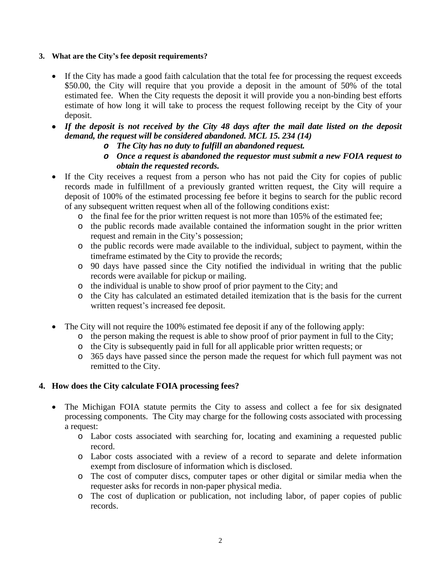## **3. What are the City's fee deposit requirements?**

- If the City has made a good faith calculation that the total fee for processing the request exceeds \$50.00, the City will require that you provide a deposit in the amount of 50% of the total estimated fee. When the City requests the deposit it will provide you a non-binding best efforts estimate of how long it will take to process the request following receipt by the City of your deposit.
- If the deposit is not received by the City 48 days after the mail date listed on the deposit *demand, the request will be considered abandoned. MCL 15. 234 (14)*
	- *o The City has no duty to fulfill an abandoned request.*
	- *o Once a request is abandoned the requestor must submit a new FOIA request to obtain the requested records.*
- If the City receives a request from a person who has not paid the City for copies of public records made in fulfillment of a previously granted written request, the City will require a deposit of 100% of the estimated processing fee before it begins to search for the public record of any subsequent written request when all of the following conditions exist:
	- o the final fee for the prior written request is not more than 105% of the estimated fee;
	- o the public records made available contained the information sought in the prior written request and remain in the City's possession;
	- o the public records were made available to the individual, subject to payment, within the timeframe estimated by the City to provide the records;
	- o 90 days have passed since the City notified the individual in writing that the public records were available for pickup or mailing.
	- o the individual is unable to show proof of prior payment to the City; and
	- o the City has calculated an estimated detailed itemization that is the basis for the current written request's increased fee deposit.
- The City will not require the 100% estimated fee deposit if any of the following apply:
	- o the person making the request is able to show proof of prior payment in full to the City;
	- o the City is subsequently paid in full for all applicable prior written requests; or
	- o 365 days have passed since the person made the request for which full payment was not remitted to the City.

# **4. How does the City calculate FOIA processing fees?**

- The Michigan FOIA statute permits the City to assess and collect a fee for six designated processing components. The City may charge for the following costs associated with processing a request:
	- o Labor costs associated with searching for, locating and examining a requested public record.
	- o Labor costs associated with a review of a record to separate and delete information exempt from disclosure of information which is disclosed.
	- o The cost of computer discs, computer tapes or other digital or similar media when the requester asks for records in non-paper physical media.
	- o The cost of duplication or publication, not including labor, of paper copies of public records.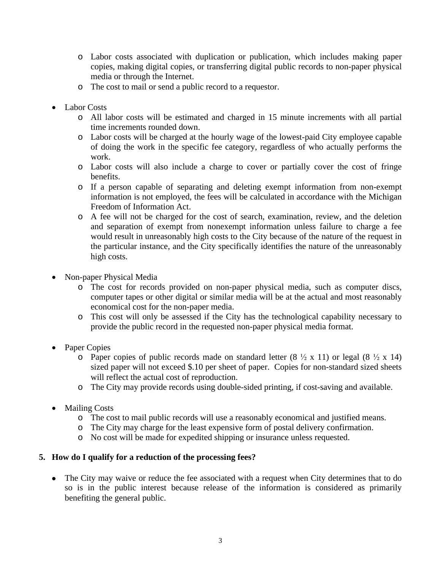- o Labor costs associated with duplication or publication, which includes making paper copies, making digital copies, or transferring digital public records to non-paper physical media or through the Internet.
- o The cost to mail or send a public record to a requestor.
- Labor Costs
	- o All labor costs will be estimated and charged in 15 minute increments with all partial time increments rounded down.
	- o Labor costs will be charged at the hourly wage of the lowest-paid City employee capable of doing the work in the specific fee category, regardless of who actually performs the work.
	- o Labor costs will also include a charge to cover or partially cover the cost of fringe benefits.
	- o If a person capable of separating and deleting exempt information from non-exempt information is not employed, the fees will be calculated in accordance with the Michigan Freedom of Information Act.
	- o A fee will not be charged for the cost of search, examination, review, and the deletion and separation of exempt from nonexempt information unless failure to charge a fee would result in unreasonably high costs to the City because of the nature of the request in the particular instance, and the City specifically identifies the nature of the unreasonably high costs.
- Non-paper Physical Media
	- o The cost for records provided on non-paper physical media, such as computer discs, computer tapes or other digital or similar media will be at the actual and most reasonably economical cost for the non-paper media.
	- o This cost will only be assessed if the City has the technological capability necessary to provide the public record in the requested non-paper physical media format.
- Paper Copies
	- $\circ$  Paper copies of public records made on standard letter (8  $\frac{1}{2}$  x 11) or legal (8  $\frac{1}{2}$  x 14) sized paper will not exceed \$.10 per sheet of paper. Copies for non-standard sized sheets will reflect the actual cost of reproduction.
	- o The City may provide records using double-sided printing, if cost-saving and available.
- Mailing Costs
	- o The cost to mail public records will use a reasonably economical and justified means.
	- o The City may charge for the least expensive form of postal delivery confirmation.
	- o No cost will be made for expedited shipping or insurance unless requested.

# **5. How do I qualify for a reduction of the processing fees?**

• The City may waive or reduce the fee associated with a request when City determines that to do so is in the public interest because release of the information is considered as primarily benefiting the general public.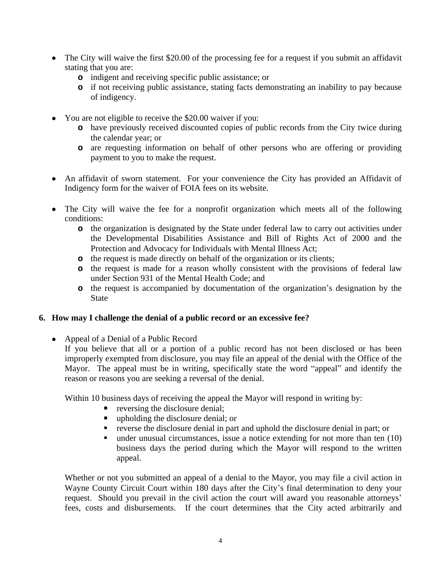- The City will waive the first \$20.00 of the processing fee for a request if you submit an affidavit stating that you are:
	- **o** indigent and receiving specific public assistance; or
	- **o** if not receiving public assistance, stating facts demonstrating an inability to pay because of indigency.
- You are not eligible to receive the \$20.00 waiver if you:
	- **o** have previously received discounted copies of public records from the City twice during the calendar year; or
	- **o** are requesting information on behalf of other persons who are offering or providing payment to you to make the request.
- An affidavit of sworn statement. For your convenience the City has provided an Affidavit of Indigency form for the waiver of FOIA fees on its website.
- The City will waive the fee for a nonprofit organization which meets all of the following conditions:
	- **o** the organization is designated by the State under federal law to carry out activities under the Developmental Disabilities Assistance and Bill of Rights Act of 2000 and the Protection and Advocacy for Individuals with Mental Illness Act;
	- **o** the request is made directly on behalf of the organization or its clients;
	- **o** the request is made for a reason wholly consistent with the provisions of federal law under Section 931 of the Mental Health Code; and
	- **o** the request is accompanied by documentation of the organization's designation by the State

## **6. How may I challenge the denial of a public record or an excessive fee?**

• Appeal of a Denial of a Public Record If you believe that all or a portion of a public record has not been disclosed or has been improperly exempted from disclosure, you may file an appeal of the denial with the Office of the Mayor. The appeal must be in writing, specifically state the word "appeal" and identify the reason or reasons you are seeking a reversal of the denial.

Within 10 business days of receiving the appeal the Mayor will respond in writing by:

- **•** reversing the disclosure denial;
- upholding the disclosure denial; or
- reverse the disclosure denial in part and uphold the disclosure denial in part; or
- $\blacksquare$  under unusual circumstances, issue a notice extending for not more than ten (10) business days the period during which the Mayor will respond to the written appeal.

Whether or not you submitted an appeal of a denial to the Mayor, you may file a civil action in Wayne County Circuit Court within 180 days after the City's final determination to deny your request. Should you prevail in the civil action the court will award you reasonable attorneys' fees, costs and disbursements. If the court determines that the City acted arbitrarily and